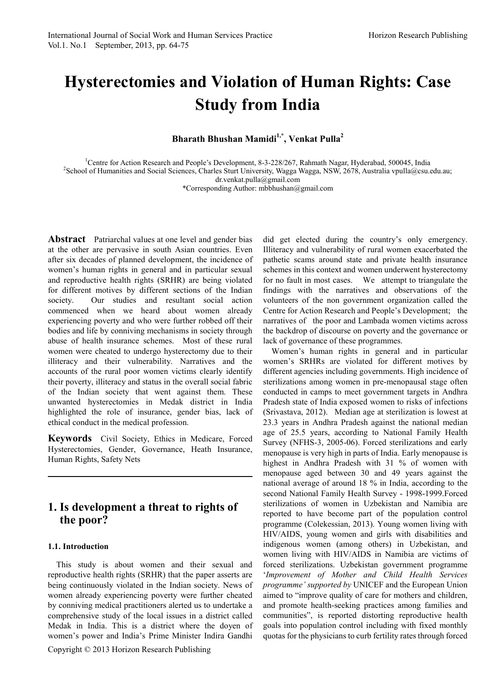# **Hysterectomies and Violation of Human Rights: Case Study from India**

**Bharath Bhushan Mamidi1,\* , Venkat Pulla<sup>2</sup>**

<sup>1</sup>Centre for Action Research and People's Development, 8-3-228/267, Rahmath Nagar, Hyderabad, 500045, India<sup>2</sup>School of Humanities and Social Sciences. Charles Sturt University Wagga Wagga, NSW 2678, Australia ypulla@esu <sup>2</sup>School of Humanities and Social Sciences, Charles Sturt University, Wagga Wagga, NSW, 2678, Australia vpulla@csu.edu.au; dr.venkat.pulla@gmail.com

\*Corresponding Author: mbbhushan@gmail.com

**Abstract** Patriarchal values at one level and gender bias at the other are pervasive in south Asian countries. Even after six decades of planned development, the incidence of women's human rights in general and in particular sexual and reproductive health rights (SRHR) are being violated for different motives by different sections of the Indian society. Our studies and resultant social action commenced when we heard about women already experiencing poverty and who were further robbed off their bodies and life by conniving mechanisms in society through abuse of health insurance schemes. Most of these rural women were cheated to undergo hysterectomy due to their illiteracy and their vulnerability. Narratives and the accounts of the rural poor women victims clearly identify their poverty, illiteracy and status in the overall social fabric of the Indian society that went against them. These unwanted hysterectomies in Medak district in India highlighted the role of insurance, gender bias, lack of ethical conduct in the medical profession.

**Keywords** Civil Society, Ethics in Medicare, Forced Hysterectomies, Gender, Governance, Heath Insurance, Human Rights, Safety Nets

### **1. Is development a threat to rights of the poor?**

### **1.1. Introduction**

This study is about women and their sexual and reproductive health rights (SRHR) that the paper asserts are being continuously violated in the Indian society. News of women already experiencing poverty were further cheated by conniving medical practitioners alerted us to undertake a comprehensive study of the local issues in a district called Medak in India. This is a district where the doyen of women's power and India's Prime Minister Indira Gandhi

Copyright © 2013 Horizon Research Publishing

did get elected during the country's only emergency. Illiteracy and vulnerability of rural women exacerbated the pathetic scams around state and private health insurance schemes in this context and women underwent hysterectomy for no fault in most cases. We attempt to triangulate the findings with the narratives and observations of the volunteers of the non government organization called the Centre for Action Research and People's Development; the narratives of the poor and Lambada women victims across the backdrop of discourse on poverty and the governance or lack of governance of these programmes.

Women's human rights in general and in particular women's SRHRs are violated for different motives by different agencies including governments. High incidence of sterilizations among women in pre-menopausal stage often conducted in camps to meet government targets in Andhra Pradesh state of India exposed women to risks of infections (Srivastava, 2012). Median age at sterilization is lowest at 23.3 years in Andhra Pradesh against the national median age of 25.5 years, according to National Family Health Survey (NFHS-3, 2005-06). Forced sterilizations and early menopause is very high in parts of India. Early menopause is highest in Andhra Pradesh with 31 % of women with menopause aged between 30 and 49 years against the national average of around 18 % in India, according to the second National Family Health Survey - 1998-1999.Forced sterilizations of women in Uzbekistan and Namibia are reported to have become part of the population control programme (Colekessian, 2013). Young women living with HIV/AIDS, young women and girls with disabilities and indigenous women (among others) in Uzbekistan, and women living with HIV/AIDS in Namibia are victims of forced sterilizations. Uzbekistan government programme '*Improvement of Mother and Child Health Services programme' supported by* UNICEF and the European Union aimed to "improve quality of care for mothers and children, and promote health-seeking practices among families and communities", is reported distorting reproductive health goals into population control including with fixed monthly quotas for the physicians to curb fertility rates through forced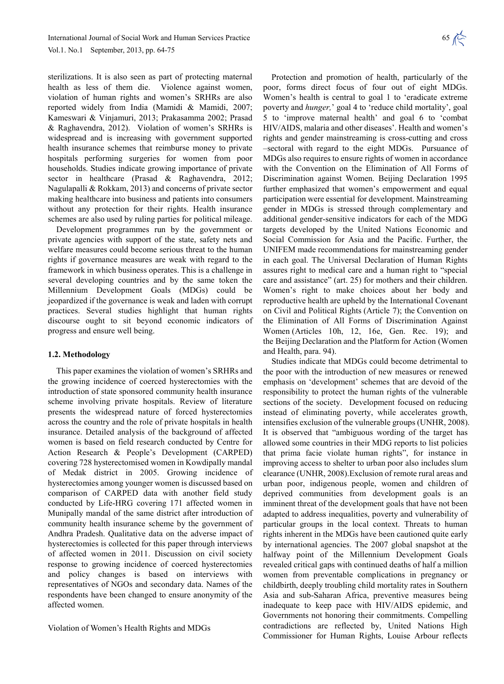sterilizations. It is also seen as part of protecting maternal health as less of them die. Violence against women, violation of human rights and women's SRHRs are also reported widely from India (Mamidi & Mamidi, 2007; Kameswari & Vinjamuri, 2013; Prakasamma 2002; Prasad & Raghavendra, 2012). Violation of women's SRHRs is widespread and is increasing with government supported health insurance schemes that reimburse money to private hospitals performing surgeries for women from poor households. Studies indicate growing importance of private sector in healthcare (Prasad & Raghavendra, 2012; Nagulapalli & Rokkam, 2013) and concerns of private sector making healthcare into business and patients into consumers without any protection for their rights. Health insurance schemes are also used by ruling parties for political mileage.

Development programmes run by the government or private agencies with support of the state, safety nets and welfare measures could become serious threat to the human rights if governance measures are weak with regard to the framework in which business operates. This is a challenge in several developing countries and by the same token the Millennium Development Goals (MDGs) could be jeopardized if the governance is weak and laden with corrupt practices. Several studies highlight that human rights discourse ought to sit beyond economic indicators of progress and ensure well being.

#### **1.2. Methodology**

This paper examines the violation of women's SRHRs and the growing incidence of coerced hysterectomies with the introduction of state sponsored community health insurance scheme involving private hospitals. Review of literature presents the widespread nature of forced hysterectomies across the country and the role of private hospitals in health insurance. Detailed analysis of the background of affected women is based on field research conducted by Centre for Action Research & People's Development (CARPED) covering 728 hysterectomised women in Kowdipally mandal of Medak district in 2005. Growing incidence of hysterectomies among younger women is discussed based on comparison of CARPED data with another field study conducted by Life-HRG covering 171 affected women in Munipally mandal of the same district after introduction of community health insurance scheme by the government of Andhra Pradesh. Qualitative data on the adverse impact of hysterectomies is collected for this paper through interviews of affected women in 2011. Discussion on civil society response to growing incidence of coerced hysterectomies and policy changes is based on interviews with representatives of NGOs and secondary data. Names of the respondents have been changed to ensure anonymity of the affected women.

Violation of Women's Health Rights and MDGs

Protection and promotion of health, particularly of the poor, forms direct focus of four out of eight MDGs. Women's health is central to goal 1 to 'eradicate extreme poverty and *hunger,*' goal 4 to 'reduce child mortality', goal 5 to 'improve maternal health' and goal 6 to 'combat HIV/AIDS, malaria and other diseases'. Health and women's rights and gender mainstreaming is cross-cutting and cross –sectoral with regard to the eight MDGs. Pursuance of MDGs also requires to ensure rights of women in accordance with the Convention on the Elimination of All Forms of Discrimination against Women. Beijing Declaration 1995 further emphasized that women's empowerment and equal participation were essential for development. Mainstreaming gender in MDGs is stressed through complementary and additional gender-sensitive indicators for each of the MDG targets developed by the United Nations Economic and Social Commission for Asia and the Pacific. Further, the UNIFEM made recommendations for mainstreaming gender in each goal. The Universal Declaration of Human Rights assures right to medical care and a human right to "special care and assistance" (art. 25) for mothers and their children. Women's right to make choices about her body and reproductive health are upheld by the International Covenant on Civil and Political Rights (Article 7); the Convention on the Elimination of All Forms of Discrimination Against Women (Articles 10h, 12, 16e, Gen. Rec. 19); and the Beijing Declaration and the Platform for Action (Women and Health, para. 94).

Studies indicate that MDGs could become detrimental to the poor with the introduction of new measures or renewed emphasis on 'development' schemes that are devoid of the responsibility to protect the human rights of the vulnerable sections of the society. Development focused on reducing instead of eliminating poverty, while accelerates growth, intensifies exclusion of the vulnerable groups (UNHR, 2008). It is observed that "ambiguous wording of the target has allowed some countries in their MDG reports to list policies that prima facie violate human rights", for instance in improving access to shelter to urban poor also includes slum clearance (UNHR, 2008).Exclusion of remote rural areas and urban poor, indigenous people, women and children of deprived communities from development goals is an imminent threat of the development goals that have not been adapted to address inequalities, poverty and vulnerability of particular groups in the local context. Threats to human rights inherent in the MDGs have been cautioned quite early by international agencies. The 2007 global snapshot at the halfway point of the Millennium Development Goals revealed critical gaps with continued deaths of half a million women from preventable complications in pregnancy or childbirth, deeply troubling child mortality rates in Southern Asia and sub-Saharan Africa, preventive measures being inadequate to keep pace with HIV/AIDS epidemic, and Governments not honoring their commitments. Compelling contradictions are reflected by, United Nations High Commissioner for Human Rights, Louise Arbour reflects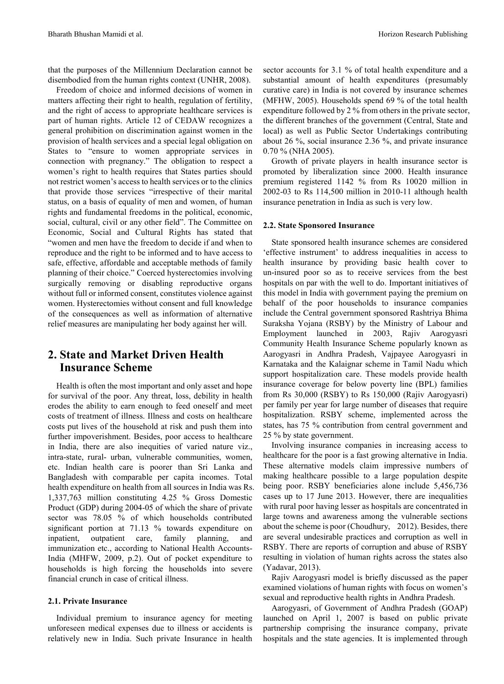that the purposes of the Millennium Declaration cannot be disembodied from the human rights context (UNHR, 2008).

Freedom of choice and informed decisions of women in matters affecting their right to health, regulation of fertility, and the right of access to appropriate healthcare services is part of human rights. Article 12 of CEDAW recognizes a general prohibition on discrimination against women in the provision of health services and a special legal obligation on States to "ensure to women appropriate services in connection with pregnancy." The obligation to respect a women's right to health requires that States parties should not restrict women's access to health services or to the clinics that provide those services "irrespective of their marital status, on a basis of equality of men and women, of human rights and fundamental freedoms in the political, economic, social, cultural, civil or any other field". The Committee on Economic, Social and Cultural Rights has stated that "women and men have the freedom to decide if and when to reproduce and the right to be informed and to have access to safe, effective, affordable and acceptable methods of family planning of their choice." Coerced hysterectomies involving surgically removing or disabling reproductive organs without full or informed consent, constitutes violence against women. Hysterectomies without consent and full knowledge of the consequences as well as information of alternative relief measures are manipulating her body against her will.

### **2. State and Market Driven Health Insurance Scheme**

Health is often the most important and only asset and hope for survival of the poor. Any threat, loss, debility in health erodes the ability to earn enough to feed oneself and meet costs of treatment of illness. Illness and costs on healthcare costs put lives of the household at risk and push them into further impoverishment. Besides, poor access to healthcare in India, there are also inequities of varied nature viz., intra-state, rural- urban, vulnerable communities, women, etc. Indian health care is poorer than Sri Lanka and Bangladesh with comparable per capita incomes. Total health expenditure on health from all sources in India was Rs. 1,337,763 million constituting 4.25 % Gross Domestic Product (GDP) during 2004-05 of which the share of private sector was 78.05 % of which households contributed significant portion at 71.13 % towards expenditure on inpatient, outpatient care, family planning, and immunization etc., according to National Health Accounts-India (MHFW, 2009, p.2). Out of pocket expenditure to households is high forcing the households into severe financial crunch in case of critical illness.

#### **2.1. Private Insurance**

Individual premium to insurance agency for meeting unforeseen medical expenses due to illness or accidents is relatively new in India. Such private Insurance in health

sector accounts for 3.1 % of total health expenditure and a substantial amount of health expenditures (presumably curative care) in India is not covered by insurance schemes (MFHW, 2005). Households spend 69 % of the total health expenditure followed by 2 % from others in the private sector, the different branches of the government (Central, State and local) as well as Public Sector Undertakings contributing about 26 %, social insurance 2.36 %, and private insurance 0.70 % (NHA 2005).

Growth of private players in health insurance sector is promoted by liberalization since 2000. Health insurance premium registered 1142 % from Rs 10020 million in 2002-03 to Rs 114,500 million in 2010-11 although health insurance penetration in India as such is very low.

#### **2.2. State Sponsored Insurance**

State sponsored health insurance schemes are considered 'effective instrument' to address inequalities in access to health insurance by providing basic health cover to un-insured poor so as to receive services from the best hospitals on par with the well to do. Important initiatives of this model in India with government paying the premium on behalf of the poor households to insurance companies include the Central government sponsored Rashtriya Bhima Suraksha Yojana (RSBY) by the Ministry of Labour and Employment launched in 2003, Rajiv Aarogyasri Community Health Insurance Scheme popularly known as Aarogyasri in Andhra Pradesh, Vajpayee Aarogyasri in Karnataka and the Kalaignar scheme in Tamil Nadu which support hospitalization care. These models provide health insurance coverage for below poverty line (BPL) families from Rs 30,000 (RSBY) to Rs 150,000 (Rajiv Aarogyasri) per family per year for large number of diseases that require hospitalization. RSBY scheme, implemented across the states, has 75 % contribution from central government and 25 % by state government.

Involving insurance companies in increasing access to healthcare for the poor is a fast growing alternative in India. These alternative models claim impressive numbers of making healthcare possible to a large population despite being poor. RSBY beneficiaries alone include 5,456,736 cases up to 17 June 2013. However, there are inequalities with rural poor having lesser as hospitals are concentrated in large towns and awareness among the vulnerable sections about the scheme is poor (Choudhury, 2012). Besides, there are several undesirable practices and corruption as well in RSBY. There are reports of corruption and abuse of RSBY resulting in violation of human rights across the states also (Yadavar, 2013).

Rajiv Aarogyasri model is briefly discussed as the paper examined violations of human rights with focus on women's sexual and reproductive health rights in Andhra Pradesh.

Aarogyasri, of Government of Andhra Pradesh (GOAP) launched on April 1, 2007 is based on public private partnership comprising the insurance company, private hospitals and the state agencies. It is implemented through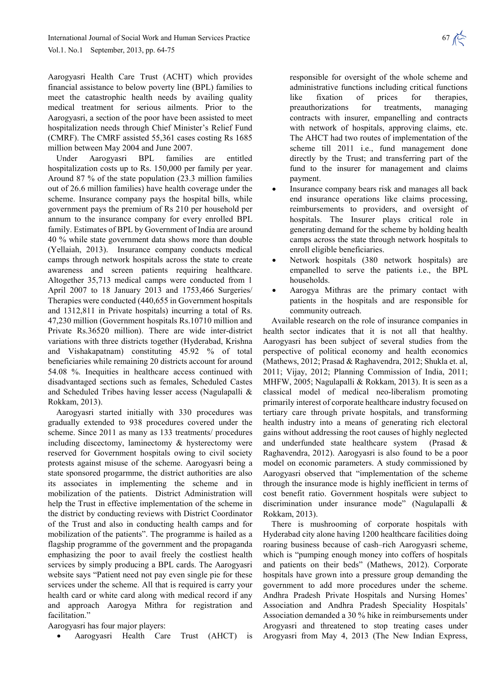Aarogyasri Health Care Trust (ACHT) which provides financial assistance to below poverty line (BPL) families to meet the catastrophic health needs by availing quality medical treatment for serious ailments. Prior to the Aarogyasri, a section of the poor have been assisted to meet hospitalization needs through Chief Minister's Relief Fund (CMRF). The CMRF assisted 55,361 cases costing Rs 1685 million between May 2004 and June 2007.

Under Aarogyasri BPL families are entitled hospitalization costs up to Rs. 150,000 per family per year. Around 87 % of the state population (23.3 million families out of 26.6 million families) have health coverage under the scheme. Insurance company pays the hospital bills, while government pays the premium of Rs 210 per household per annum to the insurance company for every enrolled BPL family. Estimates of BPL by Government of India are around 40 % while state government data shows more than double (Yellaiah, 2013). Insurance company conducts medical camps through network hospitals across the state to create awareness and screen patients requiring healthcare. Altogether 35,713 medical camps were conducted from 1 April 2007 to 18 January 2013 and 1753,466 Surgeries/ Therapies were conducted (440,655 in Government hospitals and 1312,811 in Private hospitals) incurring a total of Rs. 47,230 million (Government hospitals Rs.10710 million and Private Rs.36520 million). There are wide inter-district variations with three districts together (Hyderabad, Krishna and Vishakapatnam) constituting 45.92 % of total beneficiaries while remaining 20 districts account for around 54.08 %. Inequities in healthcare access continued with disadvantaged sections such as females, Scheduled Castes and Scheduled Tribes having lesser access (Nagulapalli & Rokkam, 2013).

Aarogyasri started initially with 330 procedures was gradually extended to 938 procedures covered under the scheme. Since 2011 as many as 133 treatments/ procedures including discectomy, laminectomy & hysterectomy were reserved for Government hospitals owing to civil society protests against misuse of the scheme. Aarogyasri being a state sponsored progarmme, the district authorities are also its associates in implementing the scheme and in mobilization of the patients. District Administration will help the Trust in effective implementation of the scheme in the district by conducting reviews with District Coordinator of the Trust and also in conducting health camps and for mobilization of the patients". The programme is hailed as a flagship programme of the government and the propaganda emphasizing the poor to avail freely the costliest health services by simply producing a BPL cards. The Aarogyasri website says "Patient need not pay even single pie for these services under the scheme. All that is required is carry your health card or white card along with medical record if any and approach Aarogya Mithra for registration and facilitation."

Aarogyasri has four major players:

• Aarogyasri Health Care Trust (AHCT) is

responsible for oversight of the whole scheme and administrative functions including critical functions like fixation of prices for therapies, preauthorizations for treatments, managing contracts with insurer, empanelling and contracts with network of hospitals, approving claims, etc. The AHCT had two routes of implementation of the scheme till 2011 i.e., fund management done directly by the Trust; and transferring part of the fund to the insurer for management and claims payment.

- Insurance company bears risk and manages all back end insurance operations like claims processing, reimbursements to providers, and oversight of hospitals. The Insurer plays critical role in generating demand for the scheme by holding health camps across the state through network hospitals to enroll eligible beneficiaries.
- Network hospitals (380 network hospitals) are empanelled to serve the patients i.e., the BPL households.
- Aarogya Mithras are the primary contact with patients in the hospitals and are responsible for community outreach.

Available research on the role of insurance companies in health sector indicates that it is not all that healthy. Aarogyasri has been subject of several studies from the perspective of political economy and health economics (Mathews, 2012; Prasad & Raghavendra, 2012; Shukla et. al, 2011; Vijay, 2012; Planning Commission of India, 2011; MHFW, 2005; Nagulapalli & Rokkam, 2013). It is seen as a classical model of medical neo-liberalism promoting primarily interest of corporate healthcare industry focused on tertiary care through private hospitals, and transforming health industry into a means of generating rich electoral gains without addressing the root causes of highly neglected and underfunded state healthcare system (Prasad & Raghavendra, 2012). Aarogyasri is also found to be a poor model on economic parameters. A study commissioned by Aarogyasri observed that "implementation of the scheme through the insurance mode is highly inefficient in terms of cost benefit ratio. Government hospitals were subject to discrimination under insurance mode" (Nagulapalli & Rokkam, 2013).

There is mushrooming of corporate hospitals with Hyderabad city alone having 1200 healthcare facilities doing roaring business because of cash–rich Aarogyasri scheme, which is "pumping enough money into coffers of hospitals and patients on their beds" (Mathews, 2012). Corporate hospitals have grown into a pressure group demanding the government to add more procedures under the scheme. Andhra Pradesh Private Hospitals and Nursing Homes' Association and Andhra Pradesh Speciality Hospitals' Association demanded a 30 % hike in reimbursements under Arogyasri and threatened to stop treating cases under Arogyasri from May 4, 2013 (The New Indian Express,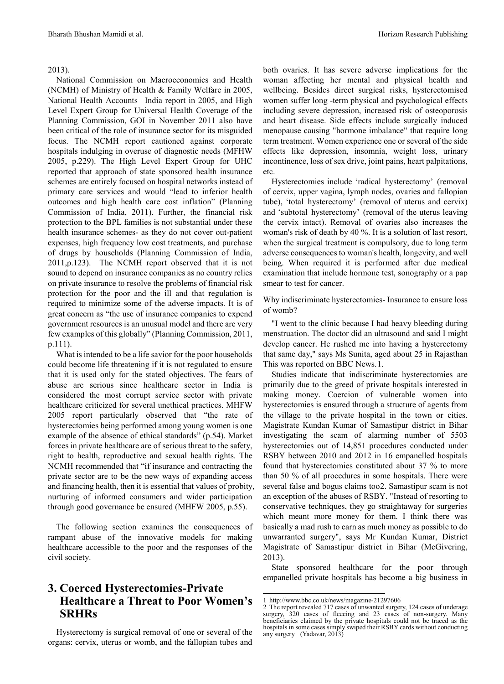#### 2013).

National Commission on Macroeconomics and Health (NCMH) of Ministry of Health & Family Welfare in 2005, National Health Accounts –India report in 2005, and High Level Expert Group for Universal Health Coverage of the Planning Commission, GOI in November 2011 also have been critical of the role of insurance sector for its misguided focus. The NCMH report cautioned against corporate hospitals indulging in overuse of diagnostic needs (MFHW 2005, p.229). The High Level Expert Group for UHC reported that approach of state sponsored health insurance schemes are entirely focused on hospital networks instead of primary care services and would "lead to inferior health outcomes and high health care cost inflation" (Planning Commission of India, 2011). Further, the financial risk protection to the BPL families is not substantial under these health insurance schemes- as they do not cover out-patient expenses, high frequency low cost treatments, and purchase of drugs by households (Planning Commission of India, 2011,p.123). The NCMH report observed that it is not sound to depend on insurance companies as no country relies on private insurance to resolve the problems of financial risk protection for the poor and the ill and that regulation is required to minimize some of the adverse impacts. It is of great concern as "the use of insurance companies to expend government resources is an unusual model and there are very few examples of this globally" (Planning Commission, 2011, p.111).

What is intended to be a life savior for the poor households could become life threatening if it is not regulated to ensure that it is used only for the stated objectives. The fears of abuse are serious since healthcare sector in India is considered the most corrupt service sector with private healthcare criticized for several unethical practices. MHFW 2005 report particularly observed that "the rate of hysterectomies being performed among young women is one example of the absence of ethical standards" (p.54). Market forces in private healthcare are of serious threat to the safety, right to health, reproductive and sexual health rights. The NCMH recommended that "if insurance and contracting the private sector are to be the new ways of expanding access and financing health, then it is essential that values of probity, nurturing of informed consumers and wider participation through good governance be ensured (MHFW 2005, p.55).

The following section examines the consequences of rampant abuse of the innovative models for making healthcare accessible to the poor and the responses of the civil society.

### <span id="page-4-1"></span><span id="page-4-0"></span>**3. Coerced Hysterectomies-Private Healthcare a Threat to Poor Women's SRHRs**

Hysterectomy is surgical removal of one or several of the organs: cervix, uterus or womb, and the fallopian tubes and

both ovaries. It has severe adverse implications for the woman affecting her mental and physical health and wellbeing. Besides direct surgical risks, hysterectomised women suffer long -term physical and psychological effects including severe depression, increased risk of osteoporosis and heart disease. Side effects include surgically induced menopause causing "hormone imbalance" that require long term treatment. Women experience one or several of the side effects like depression, insomnia, weight loss, urinary incontinence, loss of sex drive, joint pains, heart palpitations, etc.

Hysterectomies include 'radical hysterectomy' (removal of cervix, upper vagina, lymph nodes, ovaries and fallopian tube), 'total hysterectomy' (removal of uterus and cervix) and 'subtotal hysterectomy' (removal of the uterus leaving the cervix intact). Removal of ovaries also increases the woman's risk of death by 40 %. It is a solution of last resort, when the surgical treatment is compulsory, due to long term adverse consequences to woman's health, longevity, and well being. When required it is performed after due medical examination that include hormone test, sonography or a pap smear to test for cancer.

Why indiscriminate hysterectomies- Insurance to ensure loss of womb?

"I went to the clinic because I had heavy bleeding during menstruation. The doctor did an ultrasound and said I might develop cancer. He rushed me into having a hysterectomy that same day," says Ms Sunita, aged about 25 in Rajasthan This was reported on BBC News.[1](#page-4-0).

Studies indicate that indiscriminate hysterectomies are primarily due to the greed of private hospitals interested in making money. Coercion of vulnerable women into hysterectomies is ensured through a structure of agents from the village to the private hospital in the town or cities. Magistrate Kundan Kumar of Samastipur district in Bihar investigating the scam of alarming number of 5503 hysterectomies out of 14,851 procedures conducted under RSBY between 2010 and 2012 in 16 empanelled hospitals found that hysterectomies constituted about 37 % to more than 50 % of all procedures in some hospitals. There were several false and bogus claims too[2](#page-4-1). Samastipur scam is not an exception of the abuses of RSBY. "Instead of resorting to conservative techniques, they go straightaway for surgeries which meant more money for them. I think there was basically a mad rush to earn as much money as possible to do unwarranted surgery", says Mr Kundan Kumar, District Magistrate of Samastipur district in Bihar (McGivering, 2013).

State sponsored healthcare for the poor through empanelled private hospitals has become a big business in

<u>.</u>

<sup>1</sup> <http://www.bbc.co.uk/news/magazine-21297606>

<sup>2</sup> The report revealed 717 cases of unwanted surgery, 124 cases of underage surgery, 320 cases of fleecing and 23 cases of non-surgery. Many beneficiaries claimed by the private hospitals could not be traced as the hospitals in some cases simply swiped their RSBY cards without conducting any surgery (Yadavar, 2013)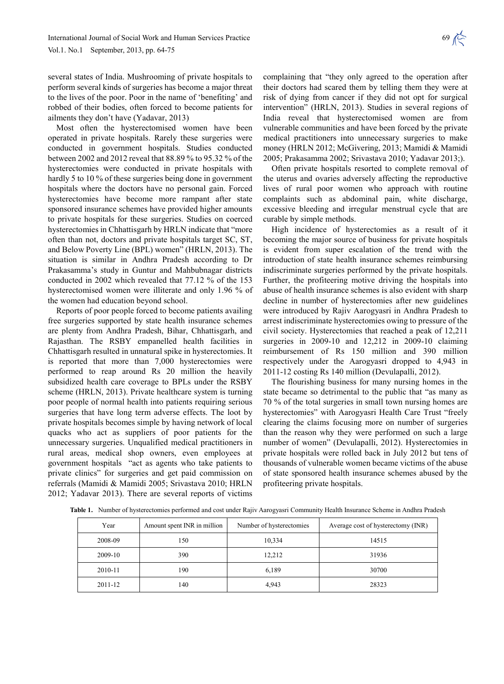several states of India. Mushrooming of private hospitals to perform several kinds of surgeries has become a major threat to the lives of the poor. Poor in the name of 'benefiting' and robbed of their bodies, often forced to become patients for ailments they don't have (Yadavar, 2013)

Most often the hysterectomised women have been operated in private hospitals. Rarely these surgeries were conducted in government hospitals. Studies conducted between 2002 and 2012 reveal that 88.89 % to 95.32 % of the hysterectomies were conducted in private hospitals with hardly 5 to 10 % of these surgeries being done in government hospitals where the doctors have no personal gain. Forced hysterectomies have become more rampant after state sponsored insurance schemes have provided higher amounts to private hospitals for these surgeries. Studies on coerced hysterectomies in Chhattisgarh by HRLN indicate that "more often than not, doctors and private hospitals target SC, ST, and Below Poverty Line (BPL) women" (HRLN, 2013). The situation is similar in Andhra Pradesh according to Dr Prakasamma's study in Guntur and Mahbubnagar districts conducted in 2002 which revealed that 77.12 % of the 153 hysterectomised women were illiterate and only 1.96 % of the women had education beyond school.

Reports of poor people forced to become patients availing free surgeries supported by state health insurance schemes are plenty from Andhra Pradesh, Bihar, Chhattisgarh, and Rajasthan. The RSBY empanelled health facilities in Chhattisgarh resulted in unnatural spike in hysterectomies. It is reported that more than 7,000 hysterectomies were performed to reap around Rs 20 million the heavily subsidized health care coverage to BPLs under the RSBY scheme (HRLN, 2013). Private healthcare system is turning poor people of normal health into patients requiring serious surgeries that have long term adverse effects. The loot by private hospitals becomes simple by having network of local quacks who act as suppliers of poor patients for the unnecessary surgeries. Unqualified medical practitioners in rural areas, medical shop owners, even employees at government hospitals "act as agents who take patients to private clinics" for surgeries and get paid commission on referrals (Mamidi & Mamidi 2005; Srivastava 2010; HRLN 2012; Yadavar 2013). There are several reports of victims

complaining that "they only agreed to the operation after their doctors had scared them by telling them they were at risk of dying from cancer if they did not opt for surgical intervention" (HRLN, 2013). Studies in several regions of India reveal that hysterectomised women are from vulnerable communities and have been forced by the private medical practitioners into unnecessary surgeries to make money (HRLN 2012; McGivering, 2013; Mamidi & Mamidi 2005; Prakasamma 2002; Srivastava 2010; Yadavar 2013;).

Often private hospitals resorted to complete removal of the uterus and ovaries adversely affecting the reproductive lives of rural poor women who approach with routine complaints such as abdominal pain, white discharge, excessive bleeding and irregular menstrual cycle that are curable by simple methods.

High incidence of hysterectomies as a result of it becoming the major source of business for private hospitals is evident from super escalation of the trend with the introduction of state health insurance schemes reimbursing indiscriminate surgeries performed by the private hospitals. Further, the profiteering motive driving the hospitals into abuse of health insurance schemes is also evident with sharp decline in number of hysterectomies after new guidelines were introduced by Rajiv Aarogyasri in Andhra Pradesh to arrest indiscriminate hysterectomies owing to pressure of the civil society. Hysterectomies that reached a peak of 12,211 surgeries in 2009-10 and 12,212 in 2009-10 claiming reimbursement of Rs 150 million and 390 million respectively under the Aarogyasri dropped to 4,943 in 2011-12 costing Rs 140 million (Devulapalli, 2012).

The flourishing business for many nursing homes in the state became so detrimental to the public that "as many as 70 % of the total surgeries in small town nursing homes are hysterectomies" with Aarogyasri Health Care Trust "freely clearing the claims focusing more on number of surgeries than the reason why they were performed on such a large number of women" (Devulapalli, 2012). Hysterectomies in private hospitals were rolled back in July 2012 but tens of thousands of vulnerable women became victims of the abuse of state sponsored health insurance schemes abused by the profiteering private hospitals.

| Year    | Amount spent INR in million | Number of hysterectomies | Average cost of hysterectomy (INR) |
|---------|-----------------------------|--------------------------|------------------------------------|
| 2008-09 | 150                         | 10,334                   | 14515                              |
| 2009-10 | 390                         | 12,212                   | 31936                              |
| 2010-11 | 190                         | 6,189                    | 30700                              |
| 2011-12 | 140                         | 4,943                    | 28323                              |

**Table 1.** Number of hysterectomies performed and cost under Rajiv Aarogyasri Community Health Insurance Scheme in Andhra Pradesh

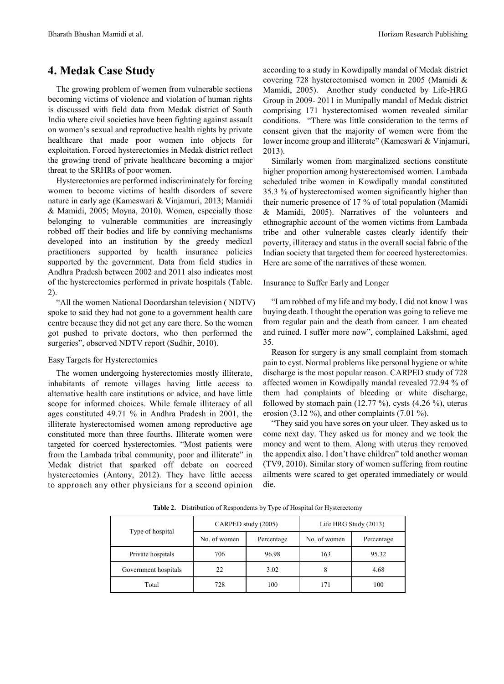### **4. Medak Case Study**

The growing problem of women from vulnerable sections becoming victims of violence and violation of human rights is discussed with field data from Medak district of South India where civil societies have been fighting against assault on women's sexual and reproductive health rights by private healthcare that made poor women into objects for exploitation. Forced hysterectomies in Medak district reflect the growing trend of private healthcare becoming a major threat to the SRHRs of poor women.

Hysterectomies are performed indiscriminately for forcing women to become victims of health disorders of severe nature in early age (Kameswari & Vinjamuri, 2013; Mamidi & Mamidi, 2005; Moyna, 2010). Women, especially those belonging to vulnerable communities are increasingly robbed off their bodies and life by conniving mechanisms developed into an institution by the greedy medical practitioners supported by health insurance policies supported by the government. Data from field studies in Andhra Pradesh between 2002 and 2011 also indicates most of the hysterectomies performed in private hospitals (Table. 2).

"All the women National Doordarshan television ( NDTV) spoke to said they had not gone to a government health care centre because they did not get any care there. So the women got pushed to private doctors, who then performed the surgeries", observed NDTV report (Sudhir, 2010).

### Easy Targets for Hysterectomies

The women undergoing hysterectomies mostly illiterate, inhabitants of remote villages having little access to alternative health care institutions or advice, and have little scope for informed choices. While female illiteracy of all ages constituted 49.71 % in Andhra Pradesh in 2001, the illiterate hysterectomised women among reproductive age constituted more than three fourths. Illiterate women were targeted for coerced hysterectomies. "Most patients were from the Lambada tribal community, poor and illiterate" in Medak district that sparked off debate on coerced hysterectomies (Antony, 2012). They have little access to approach any other physicians for a second opinion according to a study in Kowdipally mandal of Medak district covering 728 hysterectomised women in 2005 (Mamidi & Mamidi, 2005). Another study conducted by Life-HRG Group in 2009- 2011 in Munipally mandal of Medak district comprising 171 hysterectomised women revealed similar conditions. "There was little consideration to the terms of consent given that the majority of women were from the lower income group and illiterate" (Kameswari & Vinjamuri, 2013).

Similarly women from marginalized sections constitute higher proportion among hysterectomised women. Lambada scheduled tribe women in Kowdipally mandal constituted 35.3 % of hysterectomised women significantly higher than their numeric presence of 17 % of total population (Mamidi & Mamidi, 2005). Narratives of the volunteers and ethnographic account of the women victims from Lambada tribe and other vulnerable castes clearly identify their poverty, illiteracy and status in the overall social fabric of the Indian society that targeted them for coerced hysterectomies. Here are some of the narratives of these women.

### Insurance to Suffer Early and Longer

"I am robbed of my life and my body. I did not know I was buying death. I thought the operation was going to relieve me from regular pain and the death from cancer. I am cheated and ruined. I suffer more now", complained Lakshmi, aged 35.

Reason for surgery is any small complaint from stomach pain to cyst. Normal problems like personal hygiene or white discharge is the most popular reason. CARPED study of 728 affected women in Kowdipally mandal revealed 72.94 % of them had complaints of bleeding or white discharge, followed by stomach pain  $(12.77 \%)$ , cysts  $(4.26 \%)$ , uterus erosion (3.12 %), and other complaints (7.01 %).

"They said you have sores on your ulcer. They asked us to come next day. They asked us for money and we took the money and went to them. Along with uterus they removed the appendix also. I don't have children" told another woman (TV9, 2010). Similar story of women suffering from routine ailments were scared to get operated immediately or would die.

|                      | CARPED study (2005) |            | Life HRG Study (2013) |            |
|----------------------|---------------------|------------|-----------------------|------------|
| Type of hospital     | No. of women        | Percentage | No. of women          | Percentage |
| Private hospitals    | 706                 | 96.98      | 163                   | 95.32      |
| Government hospitals | 22                  | 3.02       | 8                     | 4.68       |
| Total                | 728                 | 100        | 171                   | 100        |

**Table 2.** Distribution of Respondents by Type of Hospital for Hysterectomy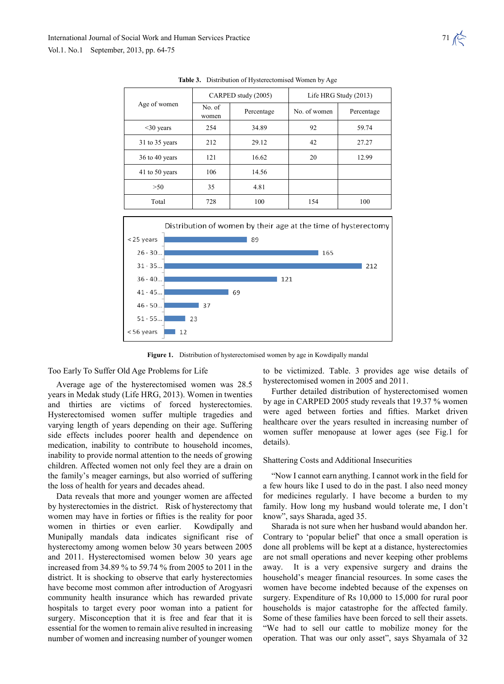

**Table 3.** Distribution of Hysterectomised Women by Age



**Figure 1.** Distribution of hysterectomised women by age in Kowdipally mandal

#### Too Early To Suffer Old Age Problems for Life

Average age of the hysterectomised women was 28.5 years in Medak study (Life HRG, 2013). Women in twenties and thirties are victims of forced hysterectomies. Hysterectomised women suffer multiple tragedies and varying length of years depending on their age. Suffering side effects includes poorer health and dependence on medication, inability to contribute to household incomes, inability to provide normal attention to the needs of growing children. Affected women not only feel they are a drain on the family's meager earnings, but also worried of suffering the loss of health for years and decades ahead.

Data reveals that more and younger women are affected by hysterectomies in the district. Risk of hysterectomy that women may have in forties or fifties is the reality for poor women in thirties or even earlier. Kowdipally and Munipally mandals data indicates significant rise of hysterectomy among women below 30 years between 2005 and 2011. Hysterectomised women below 30 years age increased from 34.89 % to 59.74 % from 2005 to 2011 in the district. It is shocking to observe that early hysterectomies have become most common after introduction of Arogyasri community health insurance which has rewarded private hospitals to target every poor woman into a patient for surgery. Misconception that it is free and fear that it is essential for the women to remain alive resulted in increasing number of women and increasing number of younger women

to be victimized. Table. 3 provides age wise details of hysterectomised women in 2005 and 2011.

Further detailed distribution of hysterectomised women by age in CARPED 2005 study reveals that 19.37 % women were aged between forties and fifties. Market driven healthcare over the years resulted in increasing number of women suffer menopause at lower ages (see Fig.1 for details).

#### Shattering Costs and Additional Insecurities

"Now I cannot earn anything. I cannot work in the field for a few hours like I used to do in the past. I also need money for medicines regularly. I have become a burden to my family. How long my husband would tolerate me, I don't know", says Sharada, aged 35.

Sharada is not sure when her husband would abandon her. Contrary to 'popular belief' that once a small operation is done all problems will be kept at a distance, hysterectomies are not small operations and never keeping other problems away. It is a very expensive surgery and drains the household's meager financial resources. In some cases the women have become indebted because of the expenses on surgery. Expenditure of Rs 10,000 to 15,000 for rural poor households is major catastrophe for the affected family. Some of these families have been forced to sell their assets. "We had to sell our cattle to mobilize money for the operation. That was our only asset", says Shyamala of 32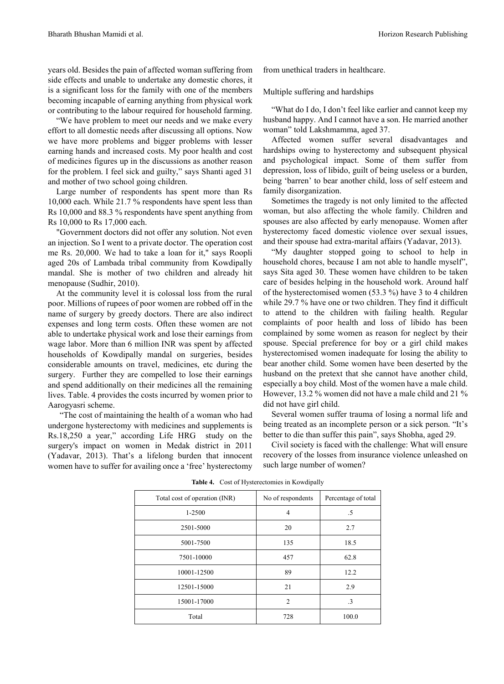years old. Besides the pain of affected woman suffering from side effects and unable to undertake any domestic chores, it is a significant loss for the family with one of the members becoming incapable of earning anything from physical work or contributing to the labour required for household farming.

"We have problem to meet our needs and we make every effort to all domestic needs after discussing all options. Now we have more problems and bigger problems with lesser earning hands and increased costs. My poor health and cost of medicines figures up in the discussions as another reason for the problem. I feel sick and guilty," says Shanti aged 31 and mother of two school going children.

Large number of respondents has spent more than Rs 10,000 each. While 21.7 % respondents have spent less than Rs 10,000 and 88.3 % respondents have spent anything from Rs 10,000 to Rs 17,000 each.

"Government doctors did not offer any solution. Not even an injection. So I went to a private doctor. The operation cost me Rs. 20,000. We had to take a loan for it,'' says Roopli aged 20s of Lambada tribal community from Kowdipally mandal. She is mother of two children and already hit menopause (Sudhir, 2010).

At the community level it is colossal loss from the rural poor. Millions of rupees of poor women are robbed off in the name of surgery by greedy doctors. There are also indirect expenses and long term costs. Often these women are not able to undertake physical work and lose their earnings from wage labor. More than 6 million INR was spent by affected households of Kowdipally mandal on surgeries, besides considerable amounts on travel, medicines, etc during the surgery. Further they are compelled to lose their earnings and spend additionally on their medicines all the remaining lives. Table. 4 provides the costs incurred by women prior to Aarogyasri scheme.

"The cost of maintaining the health of a woman who had undergone hysterectomy with medicines and supplements is Rs.18,250 a year," according Life HRG study on the surgery's impact on women in Medak district in 2011 (Yadavar, 2013). That's a lifelong burden that innocent women have to suffer for availing once a 'free' hysterectomy

from unethical traders in healthcare.

Multiple suffering and hardships

"What do I do, I don't feel like earlier and cannot keep my husband happy. And I cannot have a son. He married another woman" told Lakshmamma, aged 37.

Affected women suffer several disadvantages and hardships owing to hysterectomy and subsequent physical and psychological impact. Some of them suffer from depression, loss of libido, guilt of being useless or a burden, being 'barren' to bear another child, loss of self esteem and family disorganization.

Sometimes the tragedy is not only limited to the affected woman, but also affecting the whole family. Children and spouses are also affected by early menopause. Women after hysterectomy faced domestic violence over sexual issues, and their spouse had extra-marital affairs (Yadavar, 2013).

"My daughter stopped going to school to help in household chores, because I am not able to handle myself", says Sita aged 30. These women have children to be taken care of besides helping in the household work. Around half of the hysterectomised women (53.3 %) have 3 to 4 children while 29.7 % have one or two children. They find it difficult to attend to the children with failing health. Regular complaints of poor health and loss of libido has been complained by some women as reason for neglect by their spouse. Special preference for boy or a girl child makes hysterectomised women inadequate for losing the ability to bear another child. Some women have been deserted by the husband on the pretext that she cannot have another child, especially a boy child. Most of the women have a male child. However, 13.2 % women did not have a male child and 21 % did not have girl child.

Several women suffer trauma of losing a normal life and being treated as an incomplete person or a sick person. "It's better to die than suffer this pain", says Shobha, aged 29.

Civil society is faced with the challenge: What will ensure recovery of the losses from insurance violence unleashed on such large number of women?

| Total cost of operation (INR) | No of respondents | Percentage of total |  |
|-------------------------------|-------------------|---------------------|--|
| 1-2500                        | $\overline{4}$    | .5                  |  |
| 2501-5000                     | 20                | 2.7                 |  |
| 5001-7500                     | 135               | 18.5                |  |
| 7501-10000                    | 457               | 62.8                |  |
| 10001-12500                   | 89                | 12.2                |  |
| 12501-15000                   | 21                | 2.9                 |  |
| 15001-17000                   | $\overline{2}$    | $\cdot$ 3           |  |
| Total                         | 728               | 100.0               |  |

**Table 4.** Cost of Hysterectomies in Kowdipally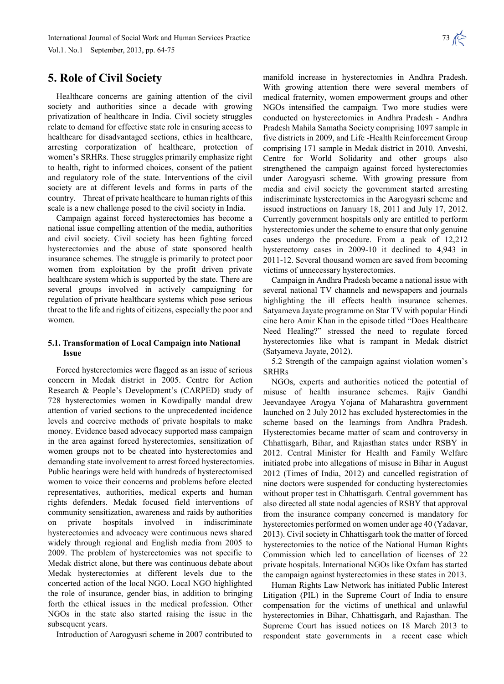### **5. Role of Civil Society**

Healthcare concerns are gaining attention of the civil society and authorities since a decade with growing privatization of healthcare in India. Civil society struggles relate to demand for effective state role in ensuring access to healthcare for disadvantaged sections, ethics in healthcare, arresting corporatization of healthcare, protection of women's SRHRs. These struggles primarily emphasize right to health, right to informed choices, consent of the patient and regulatory role of the state. Interventions of the civil society are at different levels and forms in parts of the country. Threat of private healthcare to human rights of this scale is a new challenge posed to the civil society in India.

Campaign against forced hysterectomies has become a national issue compelling attention of the media, authorities and civil society. Civil society has been fighting forced hysterectomies and the abuse of state sponsored health insurance schemes. The struggle is primarily to protect poor women from exploitation by the profit driven private healthcare system which is supported by the state. There are several groups involved in actively campaigning for regulation of private healthcare systems which pose serious threat to the life and rights of citizens, especially the poor and women.

### **5.1. Transformation of Local Campaign into National Issue**

Forced hysterectomies were flagged as an issue of serious concern in Medak district in 2005. Centre for Action Research & People's Development's (CARPED) study of 728 hysterectomies women in Kowdipally mandal drew attention of varied sections to the unprecedented incidence levels and coercive methods of private hospitals to make money. Evidence based advocacy supported mass campaign in the area against forced hysterectomies, sensitization of women groups not to be cheated into hysterectomies and demanding state involvement to arrest forced hysterectomies. Public hearings were held with hundreds of hysterectomised women to voice their concerns and problems before elected representatives, authorities, medical experts and human rights defenders. Medak focused field interventions of community sensitization, awareness and raids by authorities on private hospitals involved in indiscriminate hysterectomies and advocacy were continuous news shared widely through regional and English media from 2005 to 2009. The problem of hysterectomies was not specific to Medak district alone, but there was continuous debate about Medak hysterectomies at different levels due to the concerted action of the local NGO. Local NGO highlighted the role of insurance, gender bias, in addition to bringing forth the ethical issues in the medical profession. Other NGOs in the state also started raising the issue in the subsequent years.

Introduction of Aarogyasri scheme in 2007 contributed to

manifold increase in hysterectomies in Andhra Pradesh. With growing attention there were several members of medical fraternity, women empowerment groups and other NGOs intensified the campaign. Two more studies were conducted on hysterectomies in Andhra Pradesh - Andhra Pradesh Mahila Samatha Society comprising 1097 sample in five districts in 2009, and Life -Health Reinforcement Group comprising 171 sample in Medak district in 2010. Anveshi, Centre for World Solidarity and other groups also strengthened the campaign against forced hysterectomies under Aarogyasri scheme. With growing pressure from media and civil society the government started arresting indiscriminate hysterectomies in the Aarogyasri scheme and issued instructions on January 18, 2011 and July 17, 2012. Currently government hospitals only are entitled to perform hysterectomies under the scheme to ensure that only genuine cases undergo the procedure. From a peak of 12,212 hysterectomy cases in 2009-10 it declined to 4,943 in 2011-12. Several thousand women are saved from becoming victims of unnecessary hysterectomies.

Campaign in Andhra Pradesh became a national issue with several national TV channels and newspapers and journals highlighting the ill effects health insurance schemes. Satyameva Jayate programme on Star TV with popular Hindi cine hero Amir Khan in the episode titled "Does Healthcare Need Healing?" stressed the need to regulate forced hysterectomies like what is rampant in Medak district (Satyameva Jayate, 2012).

5.2 Strength of the campaign against violation women's SRHRs

NGOs, experts and authorities noticed the potential of misuse of health insurance schemes. Rajiv Gandhi Jeevandayee Arogya Yojana of Maharashtra government launched on 2 July 2012 has excluded hysterectomies in the scheme based on the learnings from Andhra Pradesh. Hysterectomies became matter of scam and controversy in Chhattisgarh, Bihar, and Rajasthan states under RSBY in 2012. Central Minister for Health and Family Welfare initiated probe into allegations of misuse in Bihar in August 2012 (Times of India, 2012) and cancelled registration of nine doctors were suspended for conducting hysterectomies without proper test in Chhattisgarh. Central government has also directed all state nodal agencies of RSBY that approval from the insurance company concerned is mandatory for hysterectomies performed on women under age 40 (Yadavar, 2013). Civil society in Chhattisgarh took the matter of forced hysterectomies to the notice of the National Human Rights Commission which led to cancellation of licenses of 22 private hospitals. International NGOs like Oxfam has started the campaign against hysterectomies in these states in 2013.

Human Rights Law Network has initiated Public Interest Litigation (PIL) in the Supreme Court of India to ensure compensation for the victims of unethical and unlawful hysterectomies in Bihar, Chhattisgarh, and Rajasthan. The Supreme Court has issued notices on 18 March 2013 to respondent state governments in a recent case which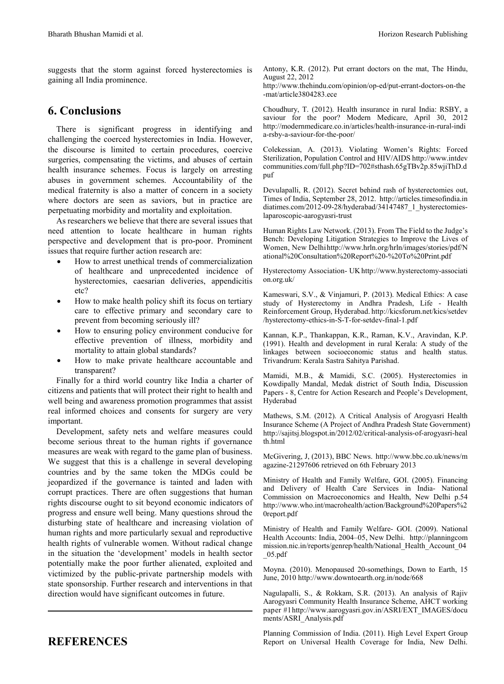suggests that the storm against forced hysterectomies is gaining all India prominence.

### **6. Conclusions**

There is significant progress in identifying and challenging the coerced hysterectomies in India. However, the discourse is limited to certain procedures, coercive surgeries, compensating the victims, and abuses of certain health insurance schemes. Focus is largely on arresting abuses in government schemes. Accountability of the medical fraternity is also a matter of concern in a society where doctors are seen as saviors, but in practice are perpetuating morbidity and mortality and exploitation.

As researchers we believe that there are several issues that need attention to locate healthcare in human rights perspective and development that is pro-poor. Prominent issues that require further action research are:

- How to arrest unethical trends of commercialization of healthcare and unprecedented incidence of hysterectomies, caesarian deliveries, appendicitis etc?
- How to make health policy shift its focus on tertiary care to effective primary and secondary care to prevent from becoming seriously ill?
- How to ensuring policy environment conducive for effective prevention of illness, morbidity and mortality to attain global standards?
- How to make private healthcare accountable and transparent?

Finally for a third world country like India a charter of citizens and patients that will protect their right to health and well being and awareness promotion programmes that assist real informed choices and consents for surgery are very important.

Development, safety nets and welfare measures could become serious threat to the human rights if governance measures are weak with regard to the game plan of business. We suggest that this is a challenge in several developing countries and by the same token the MDGs could be jeopardized if the governance is tainted and laden with corrupt practices. There are often suggestions that human rights discourse ought to sit beyond economic indicators of progress and ensure well being. Many questions shroud the disturbing state of healthcare and increasing violation of human rights and more particularly sexual and reproductive health rights of vulnerable women. Without radical change in the situation the 'development' models in health sector potentially make the poor further alienated, exploited and victimized by the public-private partnership models with state sponsorship. Further research and interventions in that direction would have significant outcomes in future.

## **REFERENCES**

Antony, K.R. (2012). Put errant doctors on the mat, The Hindu, August 22, 2012

http://www.thehindu.com/opinion/op-ed/put-errant-doctors-on-the -mat/article3804283.ece

Choudhury, T. (2012). Health insurance in rural India: RSBY, a saviour for the poor? Modern Medicare, April 30, 2012 http://modernmedicare.co.in/articles/health-insurance-in-rural-indi a-rsby-a-saviour-for-the-poor/

Colekessian, A. (2013). Violating Women's Rights: Forced Sterilization, Population Control and HIV/AIDS http://www.intdev communities.com/full.php?ID=702#sthash.65gTBv2p.85wjiThD.d puf

Devulapalli, R. (2012). Secret behind rash of hysterectomies out, Times of India, September 28, 2012. http://articles.timesofindia.in diatimes.com/2012-09-28/hyderabad/34147487\_1\_hysterectomieslaparoscopic-aarogyasri-trust

Human Rights Law Network. (2013). From The Field to the Judge's Bench: Developing Litigation Strategies to Improve the Lives of Women, New Delhihttp://www.hrln.org/hrln/images/stories/pdf/N ational%20Consultation%20Report%20-%20To%20Print.pdf

Hysterectomy Association- UK http://www.hysterectomy-associati on.org.uk/

Kameswari, S.V., & Vinjamuri, P. (2013). Medical Ethics: A case study of Hysterectomy in Andhra Pradesh, Life - Health Reinforcement Group, Hyderabad. http://kicsforum.net/kics/setdev /hysterectomy-ethics-in-S-T-for-setdev-final-1.pdf

Kannan, K.P., Thankappan, K.R., Raman, K.V., Aravindan, K.P. (1991). Health and development in rural Kerala: A study of the linkages between socioeconomic status and health status. Trivandrum: Kerala Sastra Sahitya Parishad.

Mamidi, M.B., & Mamidi, S.C. (2005). Hysterectomies in Kowdipally Mandal, Medak district of South India, Discussion Papers - 8, Centre for Action Research and People's Development, Hyderabad

Mathews, S.M. (2012). A Critical Analysis of Arogyasri Health Insurance Scheme (A Project of Andhra Pradesh State Government) http://sajitsj.blogspot.in/2012/02/critical-analysis-of-arogyasri-heal th.html

McGivering, J, (2013), BBC News. http://www.bbc.co.uk/news/m agazine-21297606 retrieved on 6th February 2013

Ministry of Health and Family Welfare, GOI. (2005). Financing and Delivery of Health Care Services in India- National Commission on Macroeconomics and Health, New Delhi p.54 http://www.who.int/macrohealth/action/Background%20Papers%2 0report.pdf

Ministry of Health and Family Welfare- GOI. (2009). National Health Accounts: India, 2004–05, New Delhi. http://planningcom mission.nic.in/reports/genrep/health/National Health Account 04 \_05.pdf

Moyna. (2010). Menopaused 20-somethings, Down to Earth, 15 June, 2010 http://www.downtoearth.org.in/node/668

Nagulapalli, S., & Rokkam, S.R. (2013). An analysis of Rajiv Aarogyasri Community Health Insurance Scheme, AHCT working paper #1http://www.aarogyasri.gov.in/ASRI/EXT\_IMAGES/docu ments/ASRI\_Analysis.pdf

Planning Commission of India. (2011). High Level Expert Group Report on Universal Health Coverage for India, New Delhi.